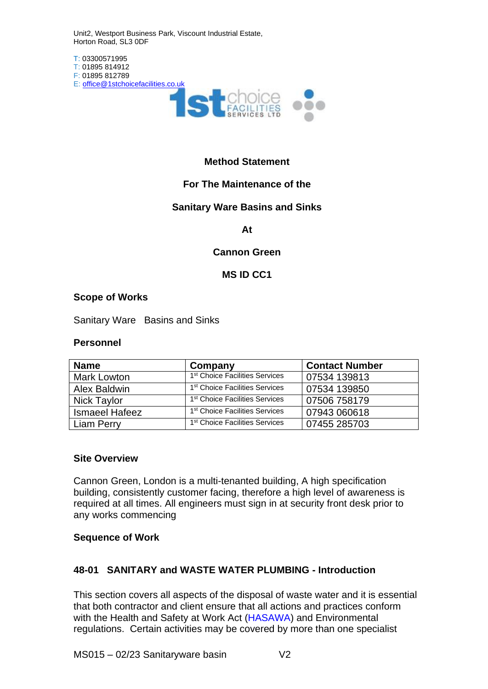Unit2, Westport Business Park, Viscount Industrial Estate, Horton Road, SL3 0DF



## **Method Statement**

## **For The Maintenance of the**

## **Sanitary Ware Basins and Sinks**

**At**

#### **Cannon Green**

## **MS ID CC1**

#### **Scope of Works**

Sanitary Ware Basins and Sinks

#### **Personnel**

| <b>Name</b>           | Company                                    | <b>Contact Number</b> |
|-----------------------|--------------------------------------------|-----------------------|
| <b>Mark Lowton</b>    | 1 <sup>st</sup> Choice Facilities Services | 07534 139813          |
| Alex Baldwin          | 1 <sup>st</sup> Choice Facilities Services | 07534 139850          |
| <b>Nick Taylor</b>    | 1 <sup>st</sup> Choice Facilities Services | 07506 758179          |
| <b>Ismaeel Hafeez</b> | 1 <sup>st</sup> Choice Facilities Services | 07943 060618          |
| Liam Perry            | 1 <sup>st</sup> Choice Facilities Services | 07455 285703          |

#### **Site Overview**

Cannon Green, London is a multi-tenanted building, A high specification building, consistently customer facing, therefore a high level of awareness is required at all times. All engineers must sign in at security front desk prior to any works commencing

#### **Sequence of Work**

## **48-01 SANITARY and WASTE WATER PLUMBING - Introduction**

This section covers all aspects of the disposal of waste water and it is essential that both contractor and client ensure that all actions and practices conform with the Health and Safety at Work Act (HASAWA) and Environmental regulations. Certain activities may be covered by more than one specialist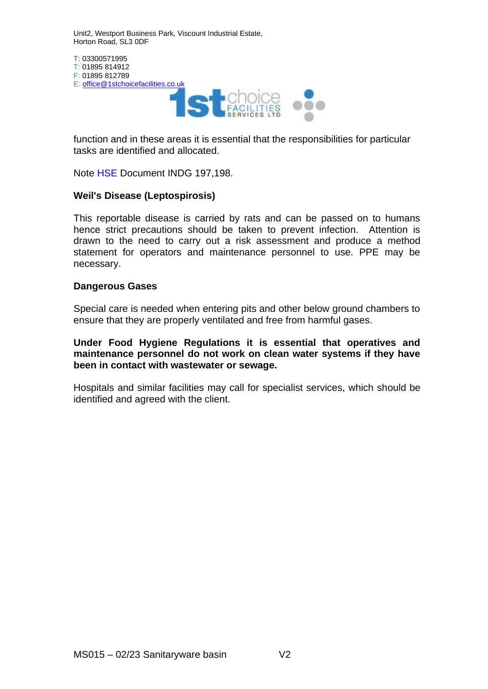Unit2, Westport Business Park, Viscount Industrial Estate, Horton Road, SL3 0DF

T: 03300571995 T: 01895 814912 F: 01895 812789 E: [office@1stchoicefacilities.co.uk](mailto:office@1stchoicefacilities.co.uk)



function and in these areas it is essential that the responsibilities for particular tasks are identified and allocated.

Note HSE Document INDG 197,198.

# **Weil's Disease (Leptospirosis)**

This reportable disease is carried by rats and can be passed on to humans hence strict precautions should be taken to prevent infection. Attention is drawn to the need to carry out a risk assessment and produce a method statement for operators and maintenance personnel to use. PPE may be necessary.

## **Dangerous Gases**

Special care is needed when entering pits and other below ground chambers to ensure that they are properly ventilated and free from harmful gases.

**Under Food Hygiene Regulations it is essential that operatives and maintenance personnel do not work on clean water systems if they have been in contact with wastewater or sewage.**

Hospitals and similar facilities may call for specialist services, which should be identified and agreed with the client.